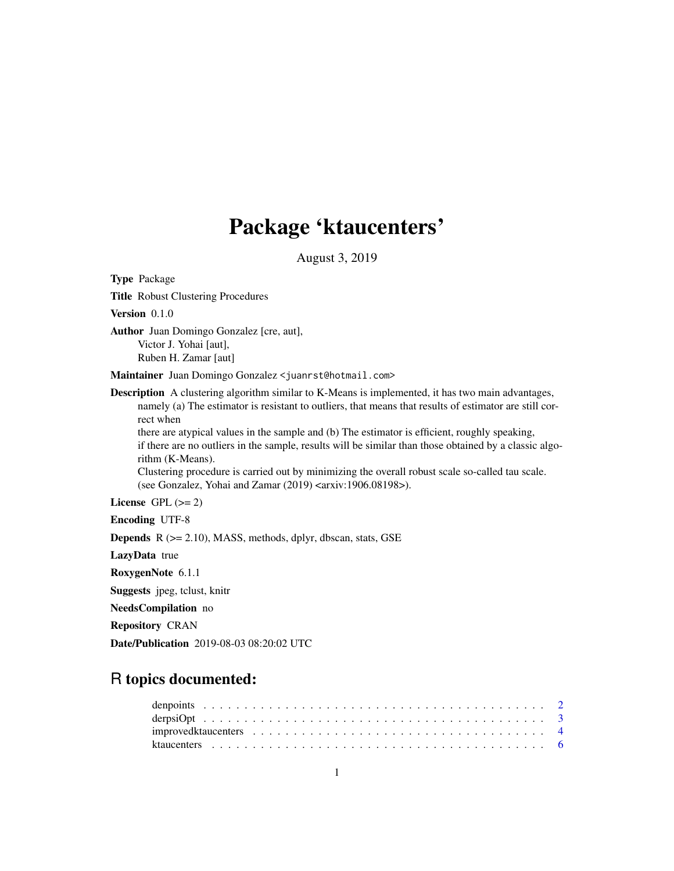## Package 'ktaucenters'

August 3, 2019

<span id="page-0-0"></span>Type Package Title Robust Clustering Procedures Version 0.1.0 Author Juan Domingo Gonzalez [cre, aut], Victor J. Yohai [aut], Ruben H. Zamar [aut] Maintainer Juan Domingo Gonzalez <juanrst@hotmail.com> Description A clustering algorithm similar to K-Means is implemented, it has two main advantages, namely (a) The estimator is resistant to outliers, that means that results of estimator are still correct when there are atypical values in the sample and (b) The estimator is efficient, roughly speaking, if there are no outliers in the sample, results will be similar than those obtained by a classic algorithm (K-Means). Clustering procedure is carried out by minimizing the overall robust scale so-called tau scale. (see Gonzalez, Yohai and Zamar  $(2019)$  <arxiv:1906.08198>). License GPL  $(>= 2)$ Encoding UTF-8 Depends R (>= 2.10), MASS, methods, dplyr, dbscan, stats, GSE LazyData true RoxygenNote 6.1.1 Suggests jpeg, tclust, knitr NeedsCompilation no Repository CRAN

## R topics documented:

Date/Publication 2019-08-03 08:20:02 UTC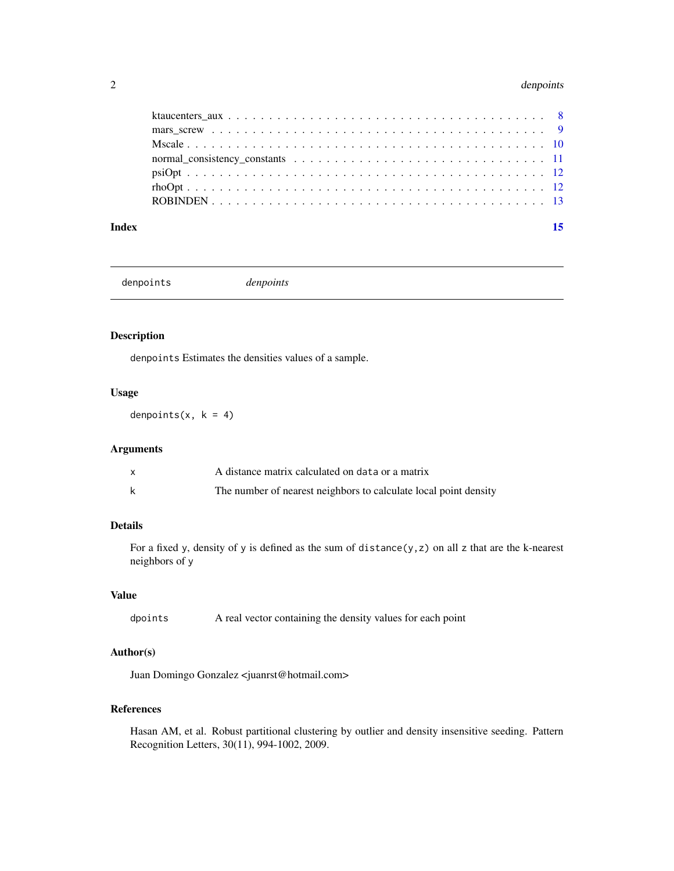#### <span id="page-1-0"></span>2 denomination of the contract of the contract of the contract of the contract of the contract of the contract of the contract of the contract of the contract of the contract of the contract of the contract of the contract

#### **Index** [15](#page-14-0)

denpoints *denpoints*

## Description

denpoints Estimates the densities values of a sample.

## Usage

denpoints(x,  $k = 4$ )

## Arguments

| A distance matrix calculated on data or a matrix                 |
|------------------------------------------------------------------|
| The number of nearest neighbors to calculate local point density |

## Details

For a fixed y, density of y is defined as the sum of distance( $y$ , $z$ ) on all  $z$  that are the k-nearest neighbors of y

## Value

dpoints A real vector containing the density values for each point

## Author(s)

Juan Domingo Gonzalez <juanrst@hotmail.com>

## References

Hasan AM, et al. Robust partitional clustering by outlier and density insensitive seeding. Pattern Recognition Letters, 30(11), 994-1002, 2009.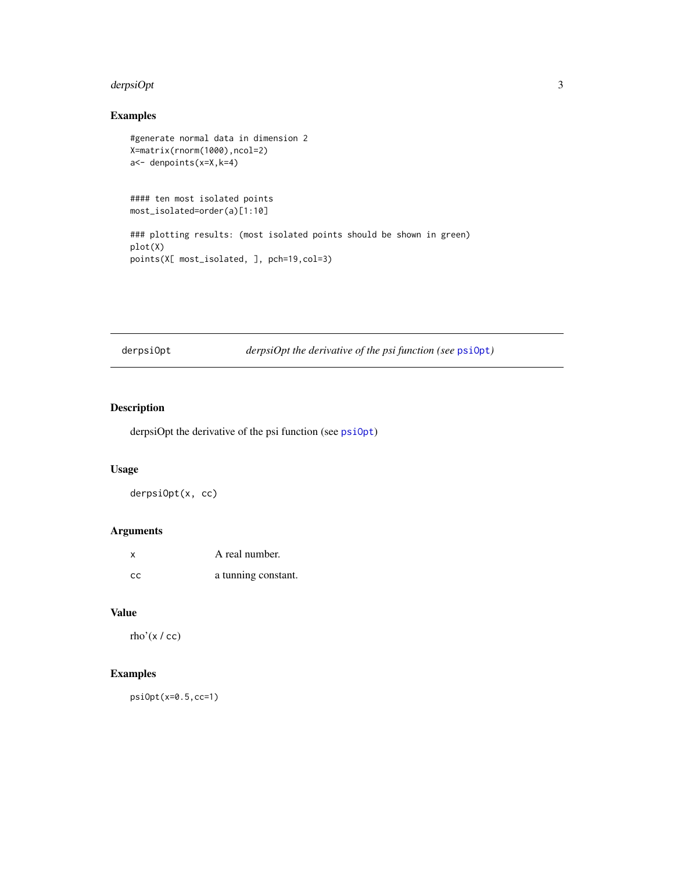#### <span id="page-2-0"></span>derpsiOpt 3 3

## Examples

```
#generate normal data in dimension 2
X=matrix(rnorm(1000),ncol=2)
a<- denpoints(x=X,k=4)
#### ten most isolated points
most_isolated=order(a)[1:10]
### plotting results: (most isolated points should be shown in green)
plot(X)
points(X[ most_isolated, ], pch=19,col=3)
```
derpsiOpt *derpsiOpt the derivative of the psi function (see* [psiOpt](#page-11-1)*)*

## Description

derpsiOpt the derivative of the psi function (see [psiOpt](#page-11-1))

## Usage

derpsiOpt(x, cc)

## Arguments

| x   | A real number.      |
|-----|---------------------|
| -cc | a tunning constant. |

## Value

rho' $(x / cc)$ 

## Examples

psiOpt(x=0.5,cc=1)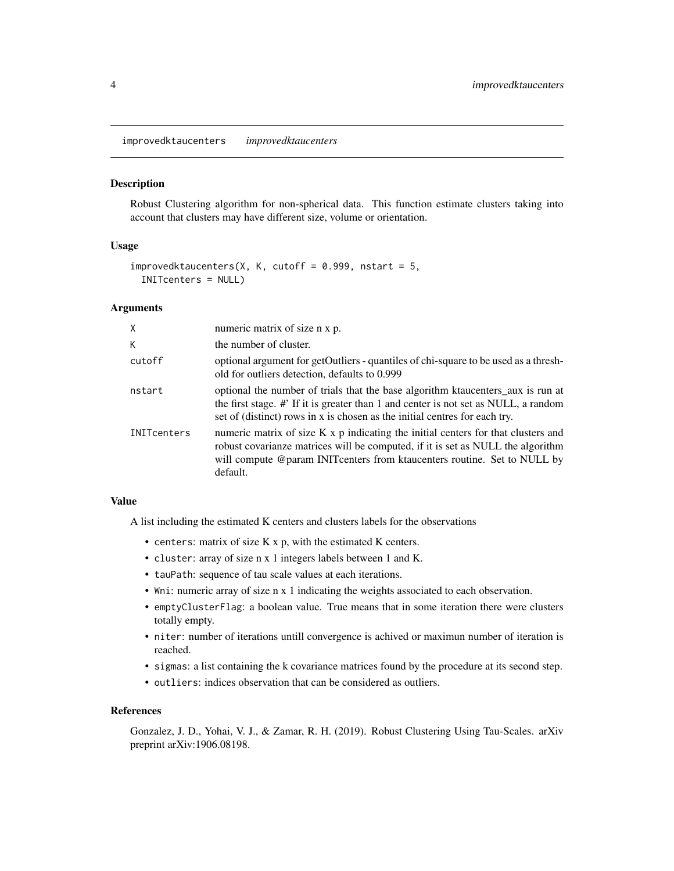<span id="page-3-0"></span>improvedktaucenters *improvedktaucenters*

#### Description

Robust Clustering algorithm for non-spherical data. This function estimate clusters taking into account that clusters may have different size, volume or orientation.

#### Usage

```
improvedktaucenters(X, K, cutoff = 0.999, nstart = 5,
  INITcenters = NULL)
```
## Arguments

| X                  | numeric matrix of size n x p.                                                                                                                                                                                                                                 |
|--------------------|---------------------------------------------------------------------------------------------------------------------------------------------------------------------------------------------------------------------------------------------------------------|
| K.                 | the number of cluster.                                                                                                                                                                                                                                        |
| cutoff             | optional argument for getOutliers - quantiles of chi-square to be used as a thresh-<br>old for outliers detection, defaults to 0.999                                                                                                                          |
| nstart             | optional the number of trials that the base algorithm ktaucenters_aux is run at<br>the first stage. #' If it is greater than 1 and center is not set as NULL, a random<br>set of (distinct) rows in x is chosen as the initial centres for each try.          |
| <b>INITcenters</b> | numeric matrix of size K x p indicating the initial centers for that clusters and<br>robust covarianze matrices will be computed, if it is set as NULL the algorithm<br>will compute @param INIT centers from ktaucenters routine. Set to NULL by<br>default. |

#### Value

A list including the estimated K centers and clusters labels for the observations

- centers: matrix of size K x p, with the estimated K centers.
- cluster: array of size n x 1 integers labels between 1 and K.
- tauPath: sequence of tau scale values at each iterations.
- Wni: numeric array of size n x 1 indicating the weights associated to each observation.
- emptyClusterFlag: a boolean value. True means that in some iteration there were clusters totally empty.
- niter: number of iterations untill convergence is achived or maximun number of iteration is reached.
- sigmas: a list containing the k covariance matrices found by the procedure at its second step.
- outliers: indices observation that can be considered as outliers.

#### References

Gonzalez, J. D., Yohai, V. J., & Zamar, R. H. (2019). Robust Clustering Using Tau-Scales. arXiv preprint arXiv:1906.08198.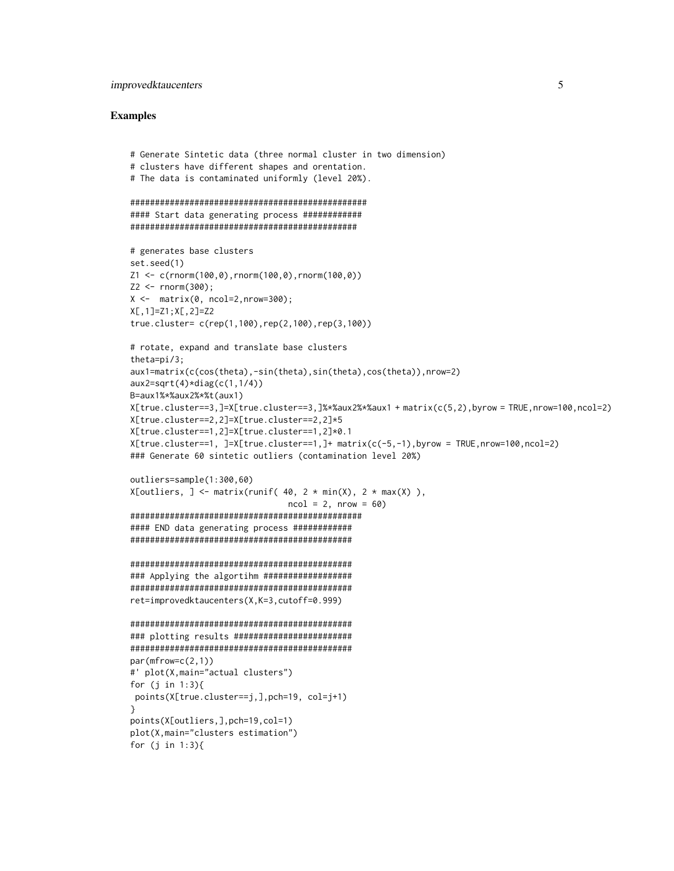### improvedktaucenters 5

#### Examples

```
# Generate Sintetic data (three normal cluster in two dimension)
# clusters have different shapes and orentation.
# The data is contaminated uniformly (level 20%).
################################################
#### Start data generating process ############
##############################################
# generates base clusters
set.seed(1)
Z1 <- c(rnorm(100,0),rnorm(100,0),rnorm(100,0))
Z2 \le - rnorm(300);
X \leftarrow \text{matrix}(0, \text{ncol}=2, \text{nrow}=300);
X[,1]=Z1;X[,2]=Z2
true.cluster= c(rep(1,100),rep(2,100),rep(3,100))
# rotate, expand and translate base clusters
theta=pi/3;
aux1=matrix(c(cos(theta),-sin(theta),sin(theta),cos(theta)),nrow=2)
aux2=sqrt(4)*diag(c(1,1/4))
B=aux1%*%aux2%*%t(aux1)
X[true.cluster==3,]=X[true.cluster==3,]%*%aux2%*%aux1 + matrix(c(5,2),byrow = TRUE,nrow=100,ncol=2)
X[true.cluster==2,2]=X[true.cluster==2,2]*5
X[true.cluster==1,2]=X[true.cluster==1,2]*0.1
X[true.class = 1, ]=X[true.class = -1, ]+ matrix(c(-5,-1),byrow = TRUE,nv=100,ncol=2)### Generate 60 sintetic outliers (contamination level 20%)
outliers=sample(1:300,60)
X[outliers, ] \leftarrow matrix(runif( 40, 2 * min(X), 2 * max(X) ),
                                 ncol = 2, nrow = 60###############################################
#### END data generating process ############
#############################################
#############################################
### Applying the algortihm ##################
#############################################
ret=improvedktaucenters(X,K=3,cutoff=0.999)
#############################################
### plotting results ########################
#############################################
par(mfrow=c(2,1))#' plot(X,main="actual clusters")
for (j in 1:3){
points(X[true.cluster==j,],pch=19, col=j+1)
}
points(X[outliers,],pch=19,col=1)
plot(X,main="clusters estimation")
for (j in 1:3){
```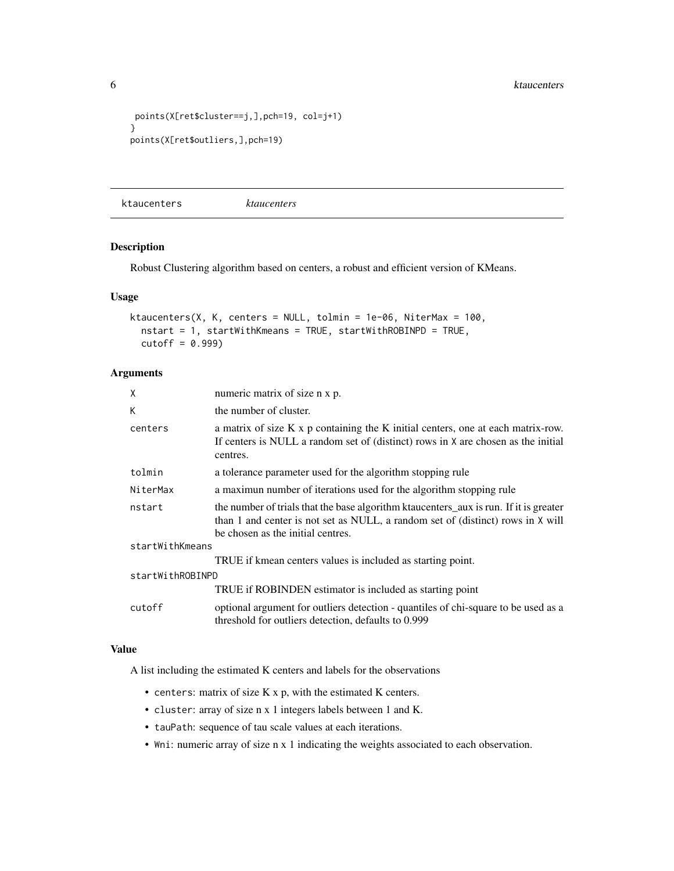```
points(X[ret$cluster==j,],pch=19, col=j+1)
}
points(X[ret$outliers,],pch=19)
```
<span id="page-5-1"></span>ktaucenters *ktaucenters*

## Description

Robust Clustering algorithm based on centers, a robust and efficient version of KMeans.

## Usage

```
ktaucenters(X, K, centers = NULL, tolmin = 1e-06, NiterMax = 100,
  nstart = 1, startWithKmeans = TRUE, startWithROBINPD = TRUE,
  cutoff = 0.999)
```
## Arguments

| $\mathsf{x}$     | numeric matrix of size n x p.                                                                                                                                                                                 |
|------------------|---------------------------------------------------------------------------------------------------------------------------------------------------------------------------------------------------------------|
| К                | the number of cluster.                                                                                                                                                                                        |
| centers          | a matrix of size K x p containing the K initial centers, one at each matrix-row.<br>If centers is NULL a random set of (distinct) rows in X are chosen as the initial<br>centres.                             |
| tolmin           | a tolerance parameter used for the algorithm stopping rule                                                                                                                                                    |
| NiterMax         | a maximum number of iterations used for the algorithm stopping rule                                                                                                                                           |
| nstart           | the number of trials that the base algorithm ktaucenters_aux is run. If it is greater<br>than 1 and center is not set as NULL, a random set of (distinct) rows in X will<br>be chosen as the initial centres. |
| startWithKmeans  |                                                                                                                                                                                                               |
|                  | TRUE if kmean centers values is included as starting point.                                                                                                                                                   |
| startWithROBINPD |                                                                                                                                                                                                               |
|                  | TRUE if ROBINDEN estimator is included as starting point                                                                                                                                                      |
| cutoff           | optional argument for outliers detection - quantiles of chi-square to be used as a<br>threshold for outliers detection, defaults to 0.999                                                                     |

#### Value

A list including the estimated K centers and labels for the observations

- centers: matrix of size K x p, with the estimated K centers.
- cluster: array of size n x 1 integers labels between 1 and K.
- tauPath: sequence of tau scale values at each iterations.
- Wni: numeric array of size n x 1 indicating the weights associated to each observation.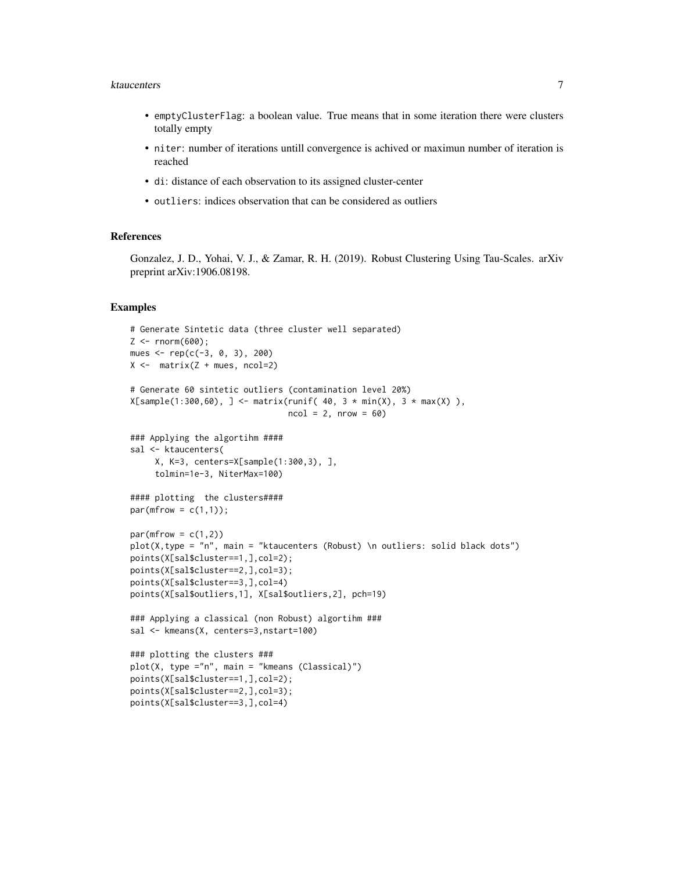#### ktaucenters 7

- emptyClusterFlag: a boolean value. True means that in some iteration there were clusters totally empty
- niter: number of iterations untill convergence is achived or maximun number of iteration is reached
- di: distance of each observation to its assigned cluster-center
- outliers: indices observation that can be considered as outliers

## References

Gonzalez, J. D., Yohai, V. J., & Zamar, R. H. (2019). Robust Clustering Using Tau-Scales. arXiv preprint arXiv:1906.08198.

#### Examples

```
# Generate Sintetic data (three cluster well separated)
Z <- rnorm(600);
mues <- rep(c(-3, 0, 3), 200)
X \leftarrow matrix(Z + mues, ncol=2)
# Generate 60 sintetic outliers (contamination level 20%)
X[sample(1:300,60), ] \leq matrix[1:300,60), ] \leq m \frac{1}{2} \frac{1}{2} \frac{1}{2} \frac{1}{2} \frac{1}{2} \frac{1}{2} \frac{1}{2} \frac{1}{2} \frac{1}{2} \frac{1}{2} \frac{1}{2} \frac{1}{2} \frac{1}{2} \frac{1}{2} \frac{1}{2} \frac{1}{2} \frac{1}{2} \frac{1}{2} 
                                       ncol = 2, nrow = 60### Applying the algortihm ####
sal <- ktaucenters(
      X, K=3, centers=X[sample(1:300,3), ],
      tolmin=1e-3, NiterMax=100)
#### plotting the clusters####
par(mfrow = c(1,1));
par(mfrow = c(1,2))plot(X,type = "n", main = "ktaucenters (Robust) \n outliers: solid black dots")
points(X[sal$cluster==1,],col=2);
points(X[sal$cluster==2,],col=3);
points(X[sal$cluster==3,],col=4)
points(X[sal$outliers,1], X[sal$outliers,2], pch=19)
### Applying a classical (non Robust) algortihm ###
sal <- kmeans(X, centers=3,nstart=100)
### plotting the clusters ###
plot(X, type ="n", main = "kmeans (Classical)")
points(X[sal$cluster==1,],col=2);
points(X[sal$cluster==2,],col=3);
points(X[sal$cluster==3,],col=4)
```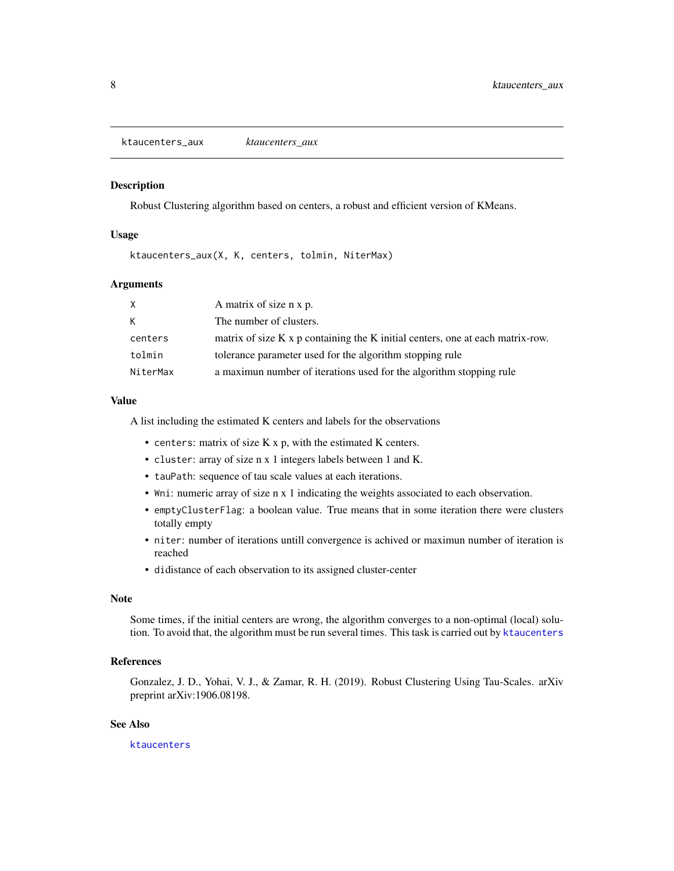<span id="page-7-0"></span>ktaucenters\_aux *ktaucenters\_aux*

#### **Description**

Robust Clustering algorithm based on centers, a robust and efficient version of KMeans.

#### Usage

ktaucenters\_aux(X, K, centers, tolmin, NiterMax)

#### Arguments

| X.       | A matrix of size n x p.                                                        |
|----------|--------------------------------------------------------------------------------|
| K        | The number of clusters.                                                        |
| centers  | matrix of size K x p containing the K initial centers, one at each matrix-row. |
| tolmin   | tolerance parameter used for the algorithm stopping rule                       |
| NiterMax | a maximum number of iterations used for the algorithm stopping rule            |

#### Value

A list including the estimated K centers and labels for the observations

- centers: matrix of size K x p, with the estimated K centers.
- cluster: array of size n x 1 integers labels between 1 and K.
- tauPath: sequence of tau scale values at each iterations.
- Wni: numeric array of size n x 1 indicating the weights associated to each observation.
- emptyClusterFlag: a boolean value. True means that in some iteration there were clusters totally empty
- niter: number of iterations untill convergence is achived or maximun number of iteration is reached
- didistance of each observation to its assigned cluster-center

#### Note

Some times, if the initial centers are wrong, the algorithm converges to a non-optimal (local) solution. To avoid that, the algorithm must be run several times. This task is carried out by [ktaucenters](#page-5-1)

#### References

Gonzalez, J. D., Yohai, V. J., & Zamar, R. H. (2019). Robust Clustering Using Tau-Scales. arXiv preprint arXiv:1906.08198.

### See Also

[ktaucenters](#page-5-1)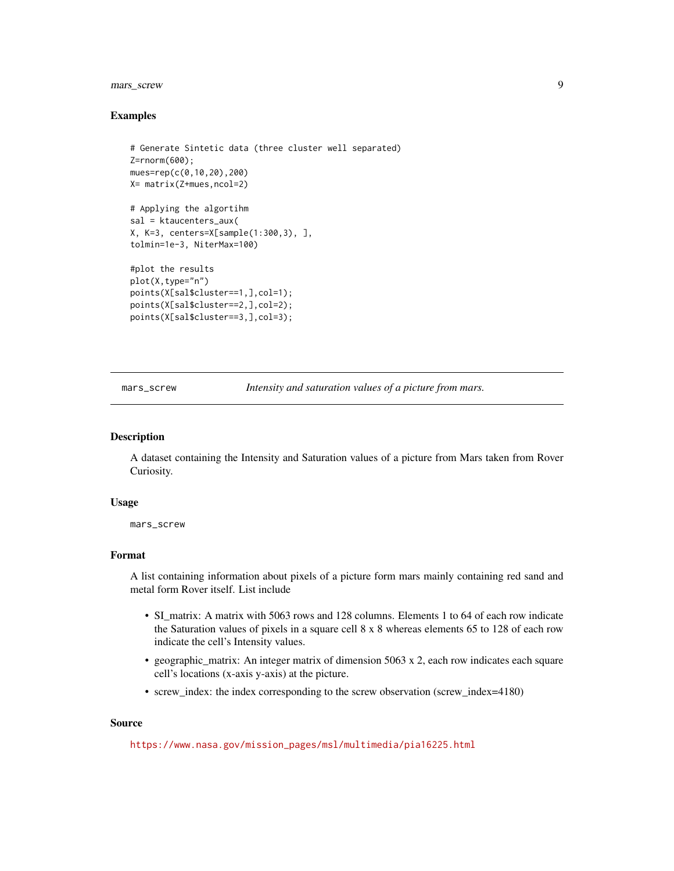## <span id="page-8-0"></span>mars\_screw 9

#### Examples

```
# Generate Sintetic data (three cluster well separated)
Z=rnorm(600);
mues=rep(c(0,10,20),200)
X= matrix(Z+mues,ncol=2)
# Applying the algortihm
sal = ktaucenters_aux(
X, K=3, centers=X[sample(1:300,3), ],
tolmin=1e-3, NiterMax=100)
#plot the results
plot(X,type="n")
points(X[sal$cluster==1,],col=1);
points(X[sal$cluster==2,],col=2);
points(X[sal$cluster==3,],col=3);
```
mars\_screw *Intensity and saturation values of a picture from mars.*

#### Description

A dataset containing the Intensity and Saturation values of a picture from Mars taken from Rover Curiosity.

#### Usage

mars\_screw

#### Format

A list containing information about pixels of a picture form mars mainly containing red sand and metal form Rover itself. List include

- SI\_matrix: A matrix with 5063 rows and 128 columns. Elements 1 to 64 of each row indicate the Saturation values of pixels in a square cell 8 x 8 whereas elements 65 to 128 of each row indicate the cell's Intensity values.
- geographic\_matrix: An integer matrix of dimension 5063 x 2, each row indicates each square cell's locations (x-axis y-axis) at the picture.
- screw\_index: the index corresponding to the screw observation (screw\_index=4180)

#### Source

[https://www.nasa.gov/mission\\_pages/msl/multimedia/pia16225.html](https://www.nasa.gov/mission_pages/msl/multimedia/pia16225.html)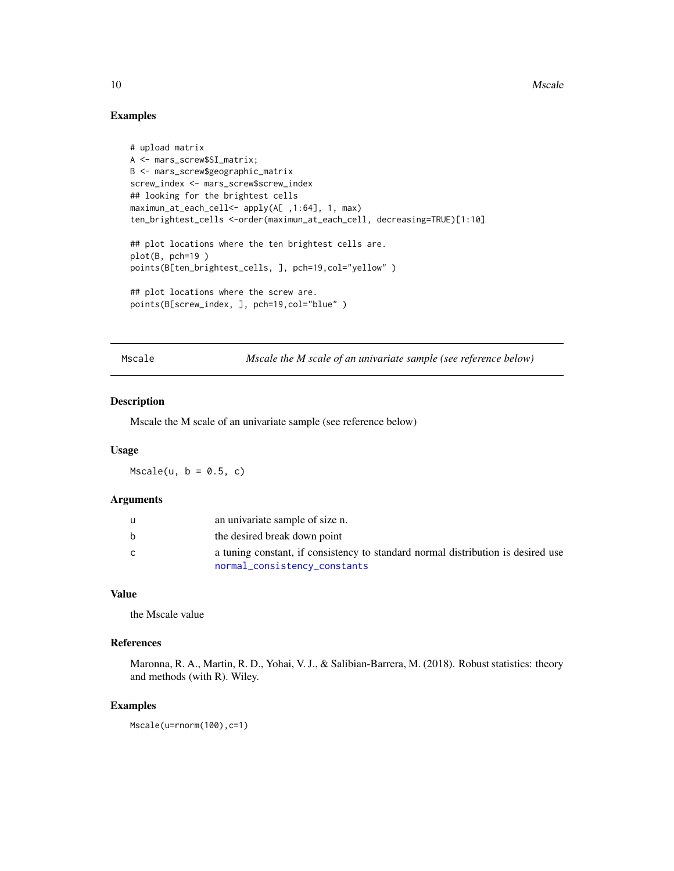10 Mscale 2012 10 Mscale 2013 10 Mscale 2013 10 Mscale 2013 10 Mscale 2014 10 Mscale 2014 10 Mscale 2014 10 Mscale 2014 10:00 10:00 10:00 10:00 10:00 10:00 10:00 10:00 10:00 10:00 10:00 10:00 10:00 10:00 10:00 10:00 10:00

#### Examples

```
# upload matrix
A <- mars_screw$SI_matrix;
B <- mars_screw$geographic_matrix
screw_index <- mars_screw$screw_index
## looking for the brightest cells
maximun_at_each_cell<- apply(A[ ,1:64], 1, max)
ten_brightest_cells <-order(maximun_at_each_cell, decreasing=TRUE)[1:10]
## plot locations where the ten brightest cells are.
plot(B, pch=19 )
points(B[ten_brightest_cells, ], pch=19,col="yellow" )
## plot locations where the screw are.
points(B[screw_index, ], pch=19,col="blue" )
```
Mscale *Mscale the M scale of an univariate sample (see reference below)*

## Description

Mscale the M scale of an univariate sample (see reference below)

#### Usage

 $Mscale(u, b = 0.5, c)$ 

#### Arguments

|   | an univariate sample of size n.                                                                                  |
|---|------------------------------------------------------------------------------------------------------------------|
| b | the desired break down point                                                                                     |
| C | a tuning constant, if consistency to standard normal distribution is desired use<br>normal_consistency_constants |

#### Value

the Mscale value

## References

Maronna, R. A., Martin, R. D., Yohai, V. J., & Salibian-Barrera, M. (2018). Robust statistics: theory and methods (with R). Wiley.

#### Examples

Mscale(u=rnorm(100),c=1)

<span id="page-9-0"></span>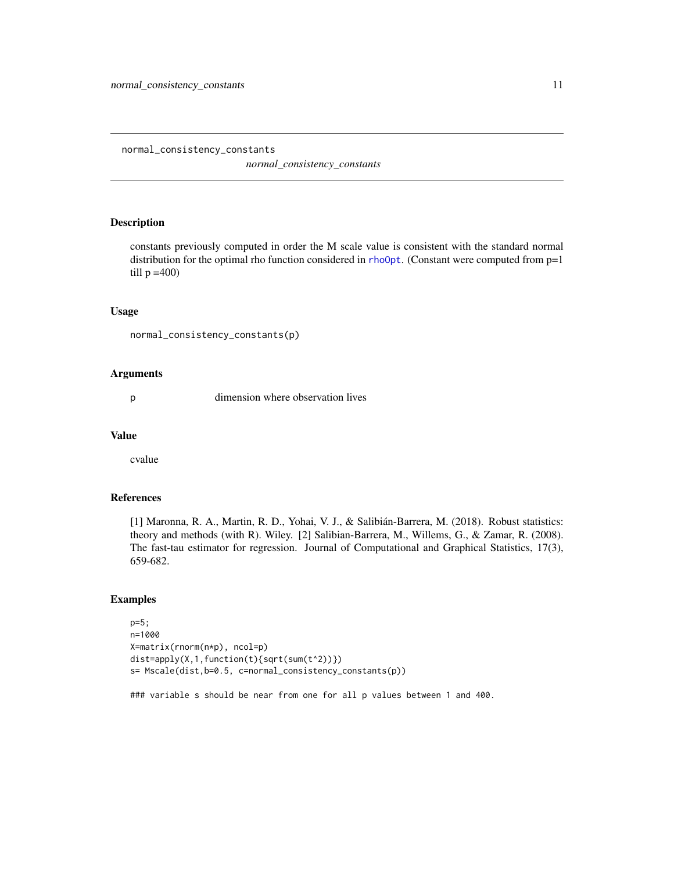*normal\_consistency\_constants*

#### <span id="page-10-1"></span><span id="page-10-0"></span>Description

constants previously computed in order the M scale value is consistent with the standard normal distribution for the optimal rho function considered in [rhoOpt](#page-11-2). (Constant were computed from p=1 till  $p = 400$ 

#### Usage

```
normal_consistency_constants(p)
```
#### Arguments

p dimension where observation lives

#### Value

cvalue

## References

[1] Maronna, R. A., Martin, R. D., Yohai, V. J., & Salibián-Barrera, M. (2018). Robust statistics: theory and methods (with R). Wiley. [2] Salibian-Barrera, M., Willems, G., & Zamar, R. (2008). The fast-tau estimator for regression. Journal of Computational and Graphical Statistics, 17(3), 659-682.

## Examples

```
p=5;
n=1000
X=matrix(rnorm(n*p), ncol=p)
dist=apply(X,1,function(t){sqrt(sum(t^2))})
s= Mscale(dist,b=0.5, c=normal_consistency_constants(p))
```
### variable s should be near from one for all p values between 1 and 400.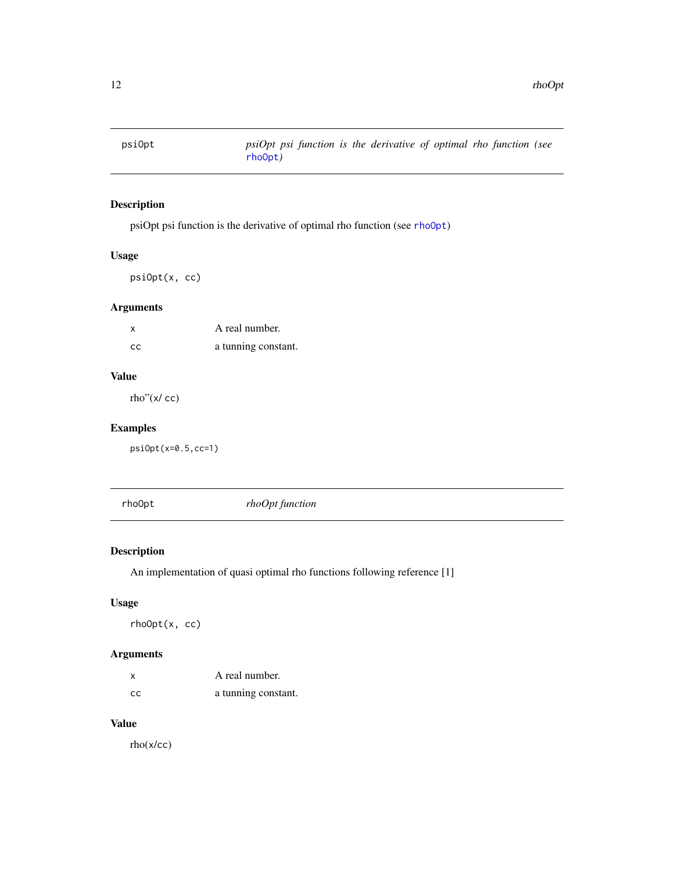<span id="page-11-1"></span><span id="page-11-0"></span>

## Description

psiOpt psi function is the derivative of optimal rho function (see [rhoOpt](#page-11-2))

## Usage

psiOpt(x, cc)

## Arguments

| X             | A real number.      |
|---------------|---------------------|
| <sub>CC</sub> | a tunning constant. |

## Value

rho"(x/ cc)

## Examples

psiOpt(x=0.5,cc=1)

<span id="page-11-2"></span>rhoOpt *rhoOpt function*

## Description

An implementation of quasi optimal rho functions following reference [1]

## Usage

rhoOpt(x, cc)

## Arguments

| X   | A real number.      |
|-----|---------------------|
| CC. | a tunning constant. |

## Value

rho(x/cc)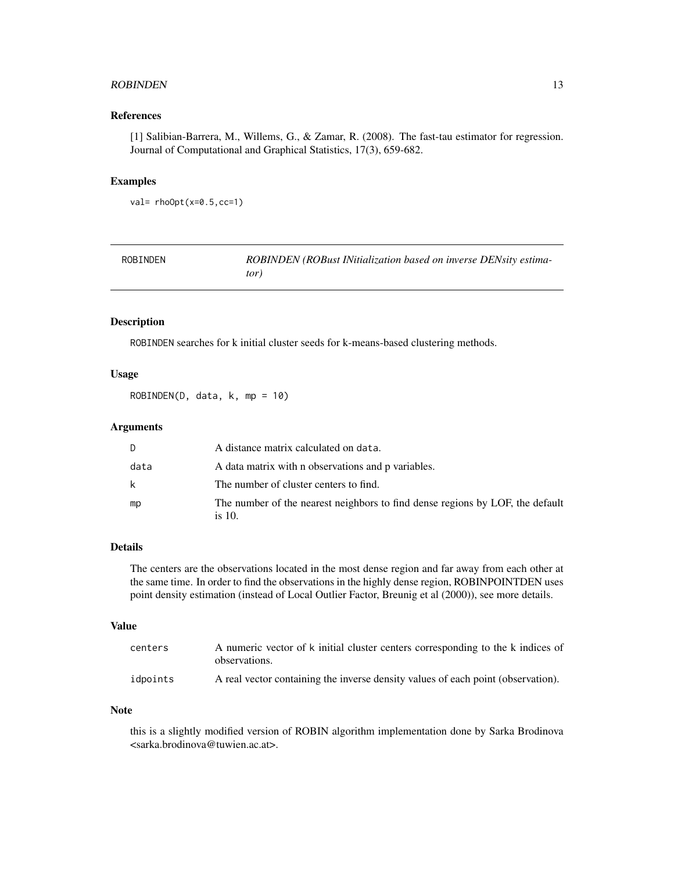#### <span id="page-12-0"></span>ROBINDEN 13

## References

[1] Salibian-Barrera, M., Willems, G., & Zamar, R. (2008). The fast-tau estimator for regression. Journal of Computational and Graphical Statistics, 17(3), 659-682.

## Examples

```
val= rhoOpt(x=0.5,cc=1)
```

| ROBINDEN | ROBINDEN (ROBust INitialization based on inverse DENsity estima- |
|----------|------------------------------------------------------------------|
|          | tor)                                                             |

## Description

ROBINDEN searches for k initial cluster seeds for k-means-based clustering methods.

## Usage

ROBINDEN(D, data, k, mp = 10)

#### Arguments

| D.   | A distance matrix calculated on data.                                                   |
|------|-----------------------------------------------------------------------------------------|
| data | A data matrix with n observations and p variables.                                      |
| k    | The number of cluster centers to find.                                                  |
| mp   | The number of the nearest neighbors to find dense regions by LOF, the default<br>is 10. |

## Details

The centers are the observations located in the most dense region and far away from each other at the same time. In order to find the observations in the highly dense region, ROBINPOINTDEN uses point density estimation (instead of Local Outlier Factor, Breunig et al (2000)), see more details.

#### Value

| centers  | A numeric vector of k initial cluster centers corresponding to the k indices of<br>observations. |
|----------|--------------------------------------------------------------------------------------------------|
| idpoints | A real vector containing the inverse density values of each point (observation).                 |

#### Note

this is a slightly modified version of ROBIN algorithm implementation done by Sarka Brodinova <sarka.brodinova@tuwien.ac.at>.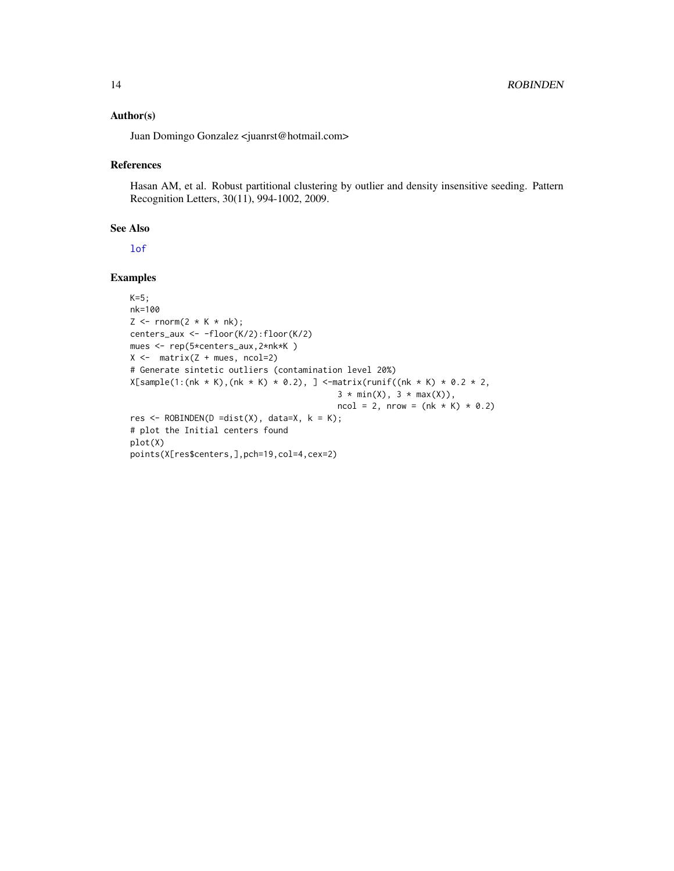#### <span id="page-13-0"></span>Author(s)

Juan Domingo Gonzalez <juanrst@hotmail.com>

#### References

Hasan AM, et al. Robust partitional clustering by outlier and density insensitive seeding. Pattern Recognition Letters, 30(11), 994-1002, 2009.

#### See Also

[lof](#page-0-0)

## Examples

```
K=5;nk=100
Z \le rnorm(2 * K * nk);
centers_aux <- -floor(K/2):floor(K/2)
mues <- rep(5*centers_aux,2*nk*K )
X \leftarrow matrix(Z + mues, ncol=2)
# Generate sintetic outliers (contamination level 20%)
X[sample(1:(nk * K),(nk * K) * 0.2), ] <-matrix(runif((nk * K) * 0.2 * 2,
                                          3 * min(X), 3 * max(X)),ncol = 2, nrow = (nk * K) * 0.2res <- ROBINDEN(D =dist(X), data=X, k = K);
# plot the Initial centers found
plot(X)
points(X[res$centers,],pch=19,col=4,cex=2)
```